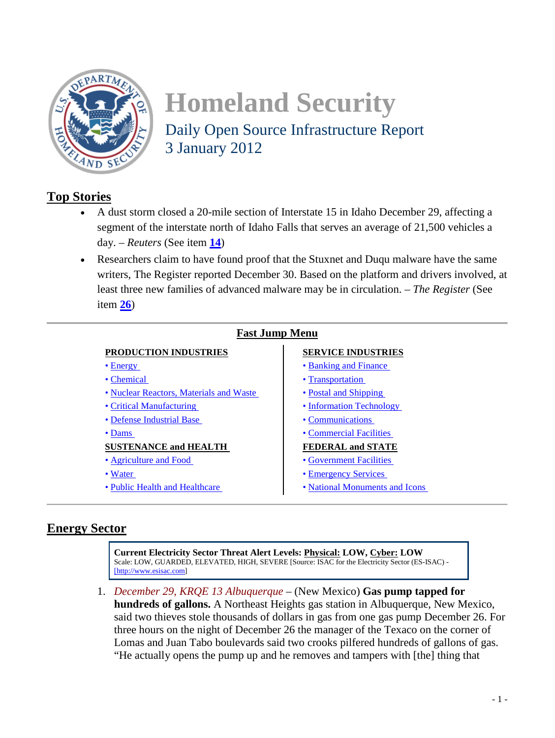<span id="page-0-0"></span>

# **Homeland Security**  Daily Open Source Infrastructure Report 3 January 2012

# **Top Stories**

- A dust storm closed a 20-mile section of Interstate 15 in Idaho December 29, affecting a segment of the interstate north of Idaho Falls that serves an average of 21,500 vehicles a day. – *Reuters* (See item **[14](#page-6-0)**)
- Researchers claim to have found proof that the Stuxnet and Duqu malware have the same writers, The Register reported December 30. Based on the platform and drivers involved, at least three new families of advanced malware may be in circulation. – *The Register* (See item **[26](#page-11-0)**)

## **Fast Jump Menu**

# **PRODUCTION INDUSTRIES SERVICE INDUSTRIES**

- 
- 
- [Nuclear Reactors, Materials and Waste](#page-2-0)  Postal and Shipping
- 
- [Defense Industrial Base](#page-3-0)  Communications
- 

#### **SUSTENANCE and HEALTH FEDERAL and STATE**

- • [Agriculture and Food](#page-8-0)  Government Facilities
- 
- 

- Energy Banking and Finance
- [Chemical](#page-2-0)  Transportation
	-
- [Critical Manufacturing](#page-3-0)  **Information Technology** 
	-
- [Dams](#page-15-0)  Commercial Facilities

- 
- [Water](#page-8-0)  Emergency Services
- [Public Health and Healthcare](#page-9-0)  National Monuments and Icons

# **Energy Sector**

**Current Electricity Sector Threat Alert Levels: Physical: LOW, Cyber: LOW** Scale: LOW, GUARDED, ELEVATED, HIGH, SEVERE [Source: ISAC for the Electricity Sector (ES-ISAC) - [http://www.esisac.com]

1. *December 29, KRQE 13 Albuquerque* – (New Mexico) **Gas pump tapped for hundreds of gallons.** A Northeast Heights gas station in Albuquerque, New Mexico, said two thieves stole thousands of dollars in gas from one gas pump December 26. For three hours on the night of December 26 the manager of the Texaco on the corner of Lomas and Juan Tabo boulevards said two crooks pilfered hundreds of gallons of gas. "He actually opens the pump up and he removes and tampers with [the] thing that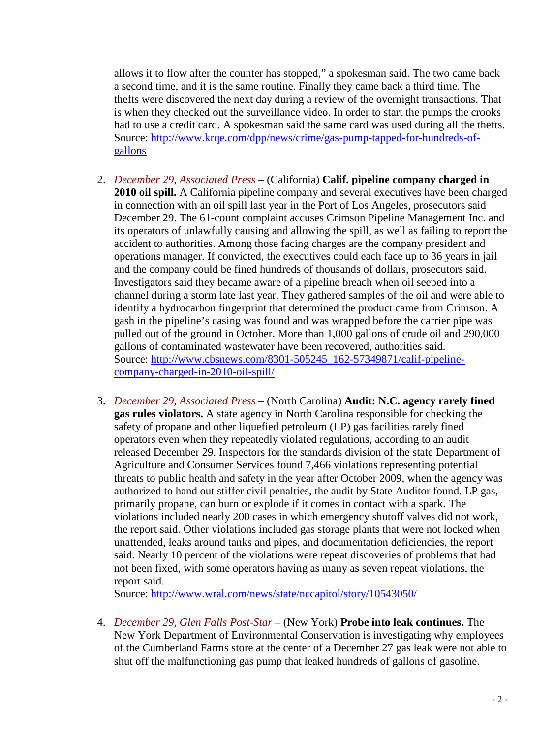<span id="page-1-0"></span>allows it to flow after the counter has stopped," a spokesman said. The two came back a second time, and it is the same routine. Finally they came back a third time. The thefts were discovered the next day during a review of the overnight transactions. That is when they checked out the surveillance video. In order to start the pumps the crooks had to use a credit card. A spokesman said the same card was used during all the thefts. Source: [http://www.krqe.com/dpp/news/crime/gas-pump-tapped-for-hundreds-of](http://www.krqe.com/dpp/news/crime/gas-pump-tapped-for-hundreds-of-gallons)[gallons](http://www.krqe.com/dpp/news/crime/gas-pump-tapped-for-hundreds-of-gallons)

- 2. *December 29, Associated Press* (California) **Calif. pipeline company charged in 2010 oil spill.** A California pipeline company and several executives have been charged in connection with an oil spill last year in the Port of Los Angeles, prosecutors said December 29. The 61-count complaint accuses Crimson Pipeline Management Inc. and its operators of unlawfully causing and allowing the spill, as well as failing to report the accident to authorities. Among those facing charges are the company president and operations manager. If convicted, the executives could each face up to 36 years in jail and the company could be fined hundreds of thousands of dollars, prosecutors said. Investigators said they became aware of a pipeline breach when oil seeped into a channel during a storm late last year. They gathered samples of the oil and were able to identify a hydrocarbon fingerprint that determined the product came from Crimson. A gash in the pipeline's casing was found and was wrapped before the carrier pipe was pulled out of the ground in October. More than 1,000 gallons of crude oil and 290,000 gallons of contaminated wastewater have been recovered, authorities said. Source: [http://www.cbsnews.com/8301-505245\\_162-57349871/calif-pipeline](http://www.cbsnews.com/8301-505245_162-57349871/calif-pipeline-company-charged-in-2010-oil-spill/)[company-charged-in-2010-oil-spill/](http://www.cbsnews.com/8301-505245_162-57349871/calif-pipeline-company-charged-in-2010-oil-spill/)
- 3. *December 29, Associated Press* (North Carolina) **Audit: N.C. agency rarely fined gas rules violators.** A state agency in North Carolina responsible for checking the safety of propane and other liquefied petroleum (LP) gas facilities rarely fined operators even when they repeatedly violated regulations, according to an audit released December 29. Inspectors for the standards division of the state Department of Agriculture and Consumer Services found 7,466 violations representing potential threats to public health and safety in the year after October 2009, when the agency was authorized to hand out stiffer civil penalties, the audit by State Auditor found. LP gas, primarily propane, can burn or explode if it comes in contact with a spark. The violations included nearly 200 cases in which emergency shutoff valves did not work, the report said. Other violations included gas storage plants that were not locked when unattended, leaks around tanks and pipes, and documentation deficiencies, the report said. Nearly 10 percent of the violations were repeat discoveries of problems that had not been fixed, with some operators having as many as seven repeat violations, the report said.

Source:<http://www.wral.com/news/state/nccapitol/story/10543050/>

4. *December 29, Glen Falls Post-Star* – (New York) **Probe into leak continues.** The New York Department of Environmental Conservation is investigating why employees of the Cumberland Farms store at the center of a December 27 gas leak were not able to shut off the malfunctioning gas pump that leaked hundreds of gallons of gasoline.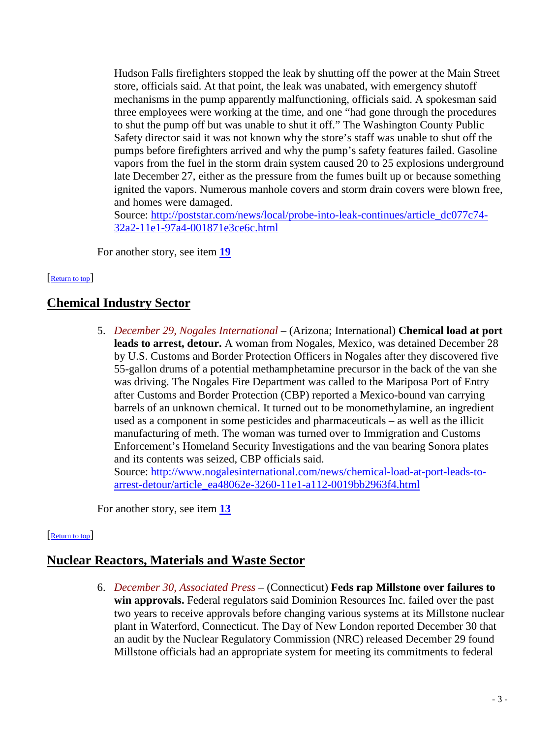<span id="page-2-0"></span>Hudson Falls firefighters stopped the leak by shutting off the power at the Main Street store, officials said. At that point, the leak was unabated, with emergency shutoff mechanisms in the pump apparently malfunctioning, officials said. A spokesman said three employees were working at the time, and one "had gone through the procedures to shut the pump off but was unable to shut it off." The Washington County Public Safety director said it was not known why the store's staff was unable to shut off the pumps before firefighters arrived and why the pump's safety features failed. Gasoline vapors from the fuel in the storm drain system caused 20 to 25 explosions underground late December 27, either as the pressure from the fumes built up or because something ignited the vapors. Numerous manhole covers and storm drain covers were blown free, and homes were damaged.

Source: [http://poststar.com/news/local/probe-into-leak-continues/article\\_dc077c74-](http://poststar.com/news/local/probe-into-leak-continues/article_dc077c74-32a2-11e1-97a4-001871e3ce6c.html) [32a2-11e1-97a4-001871e3ce6c.html](http://poststar.com/news/local/probe-into-leak-continues/article_dc077c74-32a2-11e1-97a4-001871e3ce6c.html)

For another story, see item **[19](#page-8-0)**

#### [\[Return to top\]](#page-0-0)

# **Chemical Industry Sector**

5. *December 29, Nogales International* – (Arizona; International) **Chemical load at port leads to arrest, detour.** A woman from Nogales, Mexico, was detained December 28 by U.S. Customs and Border Protection Officers in Nogales after they discovered five 55-gallon drums of a potential methamphetamine precursor in the back of the van she was driving. The Nogales Fire Department was called to the Mariposa Port of Entry after Customs and Border Protection (CBP) reported a Mexico-bound van carrying barrels of an unknown chemical. It turned out to be monomethylamine, an ingredient used as a component in some pesticides and pharmaceuticals – as well as the illicit manufacturing of meth. The woman was turned over to Immigration and Customs Enforcement's Homeland Security Investigations and the van bearing Sonora plates and its contents was seized, CBP officials said.

Source: [http://www.nogalesinternational.com/news/chemical-load-at-port-leads-to](http://www.nogalesinternational.com/news/chemical-load-at-port-leads-to-arrest-detour/article_ea48062e-3260-11e1-a112-0019bb2963f4.html)[arrest-detour/article\\_ea48062e-3260-11e1-a112-0019bb2963f4.html](http://www.nogalesinternational.com/news/chemical-load-at-port-leads-to-arrest-detour/article_ea48062e-3260-11e1-a112-0019bb2963f4.html)

For another story, see item **[13](#page-6-0)**

#### [\[Return to top\]](#page-0-0)

# **Nuclear Reactors, Materials and Waste Sector**

6. *December 30, Associated Press* – (Connecticut) **Feds rap Millstone over failures to win approvals.** Federal regulators said Dominion Resources Inc. failed over the past two years to receive approvals before changing various systems at its Millstone nuclear plant in Waterford, Connecticut. The Day of New London reported December 30 that an audit by the Nuclear Regulatory Commission (NRC) released December 29 found Millstone officials had an appropriate system for meeting its commitments to federal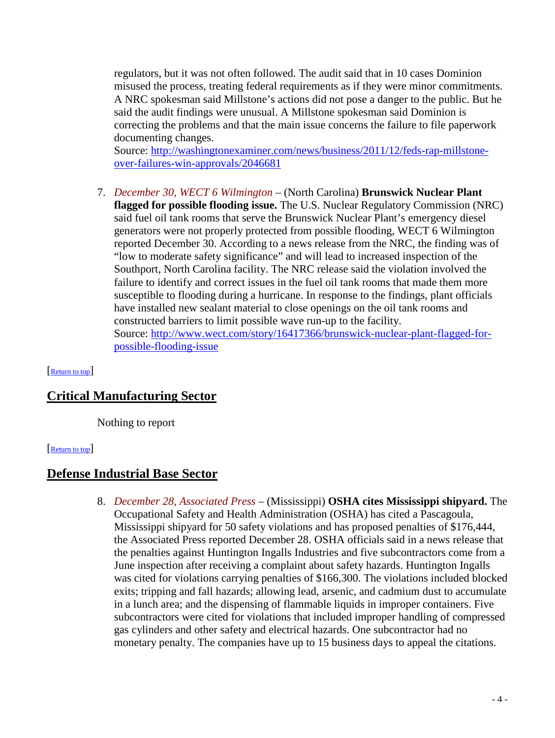<span id="page-3-0"></span>regulators, but it was not often followed. The audit said that in 10 cases Dominion misused the process, treating federal requirements as if they were minor commitments. A NRC spokesman said Millstone's actions did not pose a danger to the public. But he said the audit findings were unusual. A Millstone spokesman said Dominion is correcting the problems and that the main issue concerns the failure to file paperwork documenting changes.

Source: [http://washingtonexaminer.com/news/business/2011/12/feds-rap-millstone](http://washingtonexaminer.com/news/business/2011/12/feds-rap-millstone-over-failures-win-approvals/2046681)[over-failures-win-approvals/2046681](http://washingtonexaminer.com/news/business/2011/12/feds-rap-millstone-over-failures-win-approvals/2046681)

7. *December 30, WECT 6 Wilmington* – (North Carolina) **Brunswick Nuclear Plant flagged for possible flooding issue.** The U.S. Nuclear Regulatory Commission (NRC) said fuel oil tank rooms that serve the Brunswick Nuclear Plant's emergency diesel generators were not properly protected from possible flooding, WECT 6 Wilmington reported December 30. According to a news release from the NRC, the finding was of "low to moderate safety significance" and will lead to increased inspection of the Southport, North Carolina facility. The NRC release said the violation involved the failure to identify and correct issues in the fuel oil tank rooms that made them more susceptible to flooding during a hurricane. In response to the findings, plant officials have installed new sealant material to close openings on the oil tank rooms and constructed barriers to limit possible wave run-up to the facility. Source: [http://www.wect.com/story/16417366/brunswick-nuclear-plant-flagged-for](http://www.wect.com/story/16417366/brunswick-nuclear-plant-flagged-for-possible-flooding-issue)[possible-flooding-issue](http://www.wect.com/story/16417366/brunswick-nuclear-plant-flagged-for-possible-flooding-issue)

[\[Return to top\]](#page-0-0)

# **Critical Manufacturing Sector**

Nothing to report

#### [\[Return to top\]](#page-0-0)

### **Defense Industrial Base Sector**

8. *December 28, Associated Press* – (Mississippi) **OSHA cites Mississippi shipyard.** The Occupational Safety and Health Administration (OSHA) has cited a Pascagoula, Mississippi shipyard for 50 safety violations and has proposed penalties of \$176,444, the Associated Press reported December 28. OSHA officials said in a news release that the penalties against Huntington Ingalls Industries and five subcontractors come from a June inspection after receiving a complaint about safety hazards. Huntington Ingalls was cited for violations carrying penalties of \$166,300. The violations included blocked exits; tripping and fall hazards; allowing lead, arsenic, and cadmium dust to accumulate in a lunch area; and the dispensing of flammable liquids in improper containers. Five subcontractors were cited for violations that included improper handling of compressed gas cylinders and other safety and electrical hazards. One subcontractor had no monetary penalty. The companies have up to 15 business days to appeal the citations.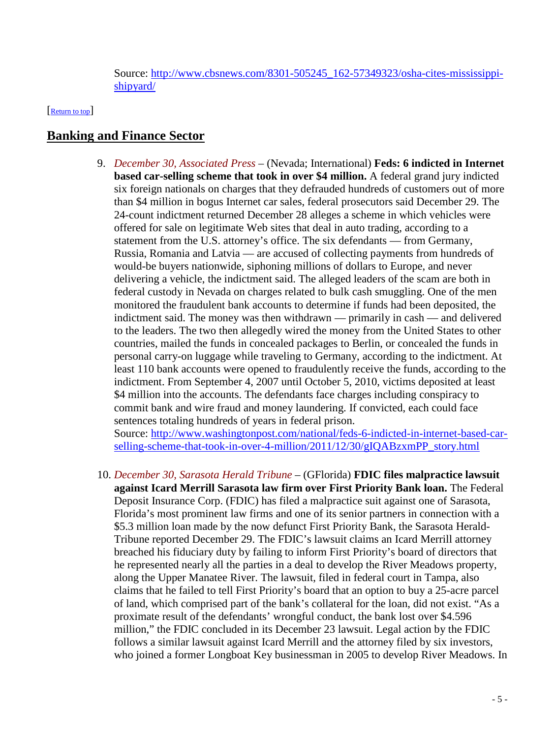Source: [http://www.cbsnews.com/8301-505245\\_162-57349323/osha-cites-mississippi](http://www.cbsnews.com/8301-505245_162-57349323/osha-cites-mississippi-shipyard/)[shipyard/](http://www.cbsnews.com/8301-505245_162-57349323/osha-cites-mississippi-shipyard/)

<span id="page-4-0"></span>[\[Return to top\]](#page-0-0)

# **Banking and Finance Sector**

9. *December 30, Associated Press* – (Nevada; International) **Feds: 6 indicted in Internet based car-selling scheme that took in over \$4 million.** A federal grand jury indicted six foreign nationals on charges that they defrauded hundreds of customers out of more than \$4 million in bogus Internet car sales, federal prosecutors said December 29. The 24-count indictment returned December 28 alleges a scheme in which vehicles were offered for sale on legitimate Web sites that deal in auto trading, according to a statement from the U.S. attorney's office. The six defendants — from Germany, Russia, Romania and Latvia — are accused of collecting payments from hundreds of would-be buyers nationwide, siphoning millions of dollars to Europe, and never delivering a vehicle, the indictment said. The alleged leaders of the scam are both in federal custody in Nevada on charges related to bulk cash smuggling. One of the men monitored the fraudulent bank accounts to determine if funds had been deposited, the indictment said. The money was then withdrawn — primarily in cash — and delivered to the leaders. The two then allegedly wired the money from the United States to other countries, mailed the funds in concealed packages to Berlin, or concealed the funds in personal carry-on luggage while traveling to Germany, according to the indictment. At least 110 bank accounts were opened to fraudulently receive the funds, according to the indictment. From September 4, 2007 until October 5, 2010, victims deposited at least \$4 million into the accounts. The defendants face charges including conspiracy to commit bank and wire fraud and money laundering. If convicted, each could face sentences totaling hundreds of years in federal prison. Source: [http://www.washingtonpost.com/national/feds-6-indicted-in-internet-based-car-](http://www.washingtonpost.com/national/feds-6-indicted-in-internet-based-car-selling-scheme-that-took-in-over-4-million/2011/12/30/gIQABzxmPP_story.html)

[selling-scheme-that-took-in-over-4-million/2011/12/30/gIQABzxmPP\\_story.html](http://www.washingtonpost.com/national/feds-6-indicted-in-internet-based-car-selling-scheme-that-took-in-over-4-million/2011/12/30/gIQABzxmPP_story.html)

10. *December 30, Sarasota Herald Tribune* – (GFlorida) **FDIC files malpractice lawsuit against Icard Merrill Sarasota law firm over First Priority Bank loan.** The Federal Deposit Insurance Corp. (FDIC) has filed a malpractice suit against one of Sarasota, Florida's most prominent law firms and one of its senior partners in connection with a \$5.3 million loan made by the now defunct First Priority Bank, the Sarasota Herald-Tribune reported December 29. The FDIC's lawsuit claims an Icard Merrill attorney breached his fiduciary duty by failing to inform First Priority's board of directors that he represented nearly all the parties in a deal to develop the River Meadows property, along the Upper Manatee River. The lawsuit, filed in federal court in Tampa, also claims that he failed to tell First Priority's board that an option to buy a 25-acre parcel of land, which comprised part of the bank's collateral for the loan, did not exist. "As a proximate result of the defendants' wrongful conduct, the bank lost over \$4.596 million," the FDIC concluded in its December 23 lawsuit. Legal action by the FDIC follows a similar lawsuit against Icard Merrill and the attorney filed by six investors, who joined a former Longboat Key businessman in 2005 to develop River Meadows. In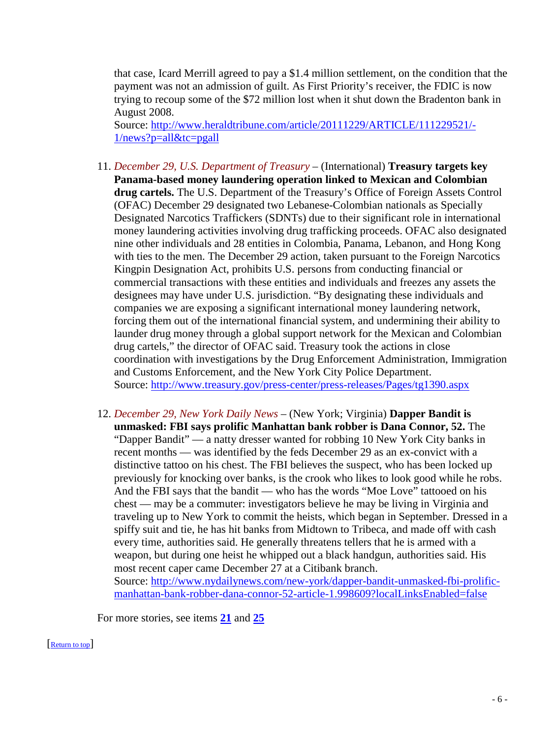that case, Icard Merrill agreed to pay a \$1.4 million settlement, on the condition that the payment was not an admission of guilt. As First Priority's receiver, the FDIC is now trying to recoup some of the \$72 million lost when it shut down the Bradenton bank in August 2008.

Source: [http://www.heraldtribune.com/article/20111229/ARTICLE/111229521/-](http://www.heraldtribune.com/article/20111229/ARTICLE/111229521/-1/news?p=all&tc=pgall) [1/news?p=all&tc=pgall](http://www.heraldtribune.com/article/20111229/ARTICLE/111229521/-1/news?p=all&tc=pgall)

- 11. *December 29, U.S. Department of Treasury* (International) **Treasury targets key Panama-based money laundering operation linked to Mexican and Colombian drug cartels.** The U.S. Department of the Treasury's Office of Foreign Assets Control (OFAC) December 29 designated two Lebanese-Colombian nationals as Specially Designated Narcotics Traffickers (SDNTs) due to their significant role in international money laundering activities involving drug trafficking proceeds. OFAC also designated nine other individuals and 28 entities in Colombia, Panama, Lebanon, and Hong Kong with ties to the men. The December 29 action, taken pursuant to the Foreign Narcotics Kingpin Designation Act, prohibits U.S. persons from conducting financial or commercial transactions with these entities and individuals and freezes any assets the designees may have under U.S. jurisdiction. "By designating these individuals and companies we are exposing a significant international money laundering network, forcing them out of the international financial system, and undermining their ability to launder drug money through a global support network for the Mexican and Colombian drug cartels," the director of OFAC said. Treasury took the actions in close coordination with investigations by the Drug Enforcement Administration, Immigration and Customs Enforcement, and the New York City Police Department. Source:<http://www.treasury.gov/press-center/press-releases/Pages/tg1390.aspx>
- 12. *December 29, New York Daily News* (New York; Virginia) **Dapper Bandit is unmasked: FBI says prolific Manhattan bank robber is Dana Connor, 52.** The "Dapper Bandit" — a natty dresser wanted for robbing 10 New York City banks in recent months — was identified by the feds December 29 as an ex-convict with a distinctive tattoo on his chest. The FBI believes the suspect, who has been locked up previously for knocking over banks, is the crook who likes to look good while he robs. And the FBI says that the bandit — who has the words "Moe Love" tattooed on his chest — may be a commuter: investigators believe he may be living in Virginia and traveling up to New York to commit the heists, which began in September. Dressed in a spiffy suit and tie, he has hit banks from Midtown to Tribeca, and made off with cash every time, authorities said. He generally threatens tellers that he is armed with a weapon, but during one heist he whipped out a black handgun, authorities said. His most recent caper came December 27 at a Citibank branch. Source: [http://www.nydailynews.com/new-york/dapper-bandit-unmasked-fbi-prolific](http://www.nydailynews.com/new-york/dapper-bandit-unmasked-fbi-prolific-manhattan-bank-robber-dana-connor-52-article-1.998609?localLinksEnabled=false)[manhattan-bank-robber-dana-connor-52-article-1.998609?localLinksEnabled=false](http://www.nydailynews.com/new-york/dapper-bandit-unmasked-fbi-prolific-manhattan-bank-robber-dana-connor-52-article-1.998609?localLinksEnabled=false)

For more stories, see items **[21](#page-9-0)** and **[25](#page-11-0)**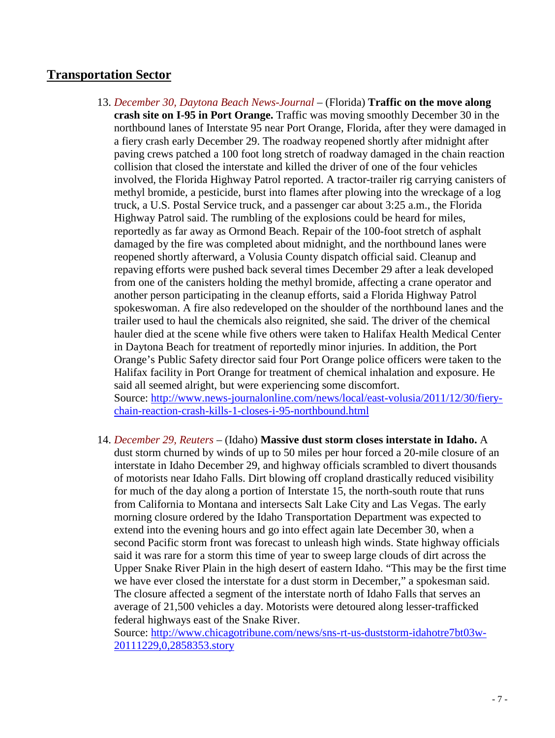# <span id="page-6-0"></span>**Transportation Sector**

- 13. *December 30, Daytona Beach News-Journal* (Florida) **Traffic on the move along crash site on I-95 in Port Orange.** Traffic was moving smoothly December 30 in the northbound lanes of Interstate 95 near Port Orange, Florida, after they were damaged in a fiery crash early December 29. The roadway reopened shortly after midnight after paving crews patched a 100 foot long stretch of roadway damaged in the chain reaction collision that closed the interstate and killed the driver of one of the four vehicles involved, the Florida Highway Patrol reported. A tractor-trailer rig carrying canisters of methyl bromide, a pesticide, burst into flames after plowing into the wreckage of a log truck, a U.S. Postal Service truck, and a passenger car about 3:25 a.m., the Florida Highway Patrol said. The rumbling of the explosions could be heard for miles, reportedly as far away as Ormond Beach. Repair of the 100-foot stretch of asphalt damaged by the fire was completed about midnight, and the northbound lanes were reopened shortly afterward, a Volusia County dispatch official said. Cleanup and repaving efforts were pushed back several times December 29 after a leak developed from one of the canisters holding the methyl bromide, affecting a crane operator and another person participating in the cleanup efforts, said a Florida Highway Patrol spokeswoman. A fire also redeveloped on the shoulder of the northbound lanes and the trailer used to haul the chemicals also reignited, she said. The driver of the chemical hauler died at the scene while five others were taken to Halifax Health Medical Center in Daytona Beach for treatment of reportedly minor injuries. In addition, the Port Orange's Public Safety director said four Port Orange police officers were taken to the Halifax facility in Port Orange for treatment of chemical inhalation and exposure. He said all seemed alright, but were experiencing some discomfort. Source: [http://www.news-journalonline.com/news/local/east-volusia/2011/12/30/fiery](http://www.news-journalonline.com/news/local/east-volusia/2011/12/30/fiery-chain-reaction-crash-kills-1-closes-i-95-northbound.html)[chain-reaction-crash-kills-1-closes-i-95-northbound.html](http://www.news-journalonline.com/news/local/east-volusia/2011/12/30/fiery-chain-reaction-crash-kills-1-closes-i-95-northbound.html)
- 14. *December 29, Reuters* (Idaho) **Massive dust storm closes interstate in Idaho.** A dust storm churned by winds of up to 50 miles per hour forced a 20-mile closure of an interstate in Idaho December 29, and highway officials scrambled to divert thousands of motorists near Idaho Falls. Dirt blowing off cropland drastically reduced visibility for much of the day along a portion of Interstate 15, the north-south route that runs from California to Montana and intersects Salt Lake City and Las Vegas. The early morning closure ordered by the Idaho Transportation Department was expected to extend into the evening hours and go into effect again late December 30, when a second Pacific storm front was forecast to unleash high winds. State highway officials said it was rare for a storm this time of year to sweep large clouds of dirt across the Upper Snake River Plain in the high desert of eastern Idaho. "This may be the first time we have ever closed the interstate for a dust storm in December," a spokesman said. The closure affected a segment of the interstate north of Idaho Falls that serves an average of 21,500 vehicles a day. Motorists were detoured along lesser-trafficked federal highways east of the Snake River.

Source: [http://www.chicagotribune.com/news/sns-rt-us-duststorm-idahotre7bt03w-](http://www.chicagotribune.com/news/sns-rt-us-duststorm-idahotre7bt03w-20111229,0,2858353.story)[20111229,0,2858353.story](http://www.chicagotribune.com/news/sns-rt-us-duststorm-idahotre7bt03w-20111229,0,2858353.story)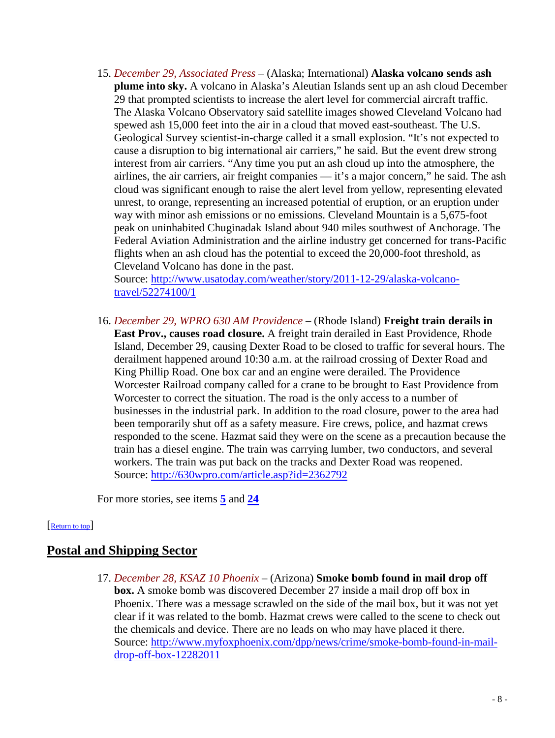<span id="page-7-0"></span>15. *December 29, Associated Press* – (Alaska; International) **Alaska volcano sends ash plume into sky.** A volcano in Alaska's Aleutian Islands sent up an ash cloud December 29 that prompted scientists to increase the alert level for commercial aircraft traffic. The Alaska Volcano Observatory said satellite images showed Cleveland Volcano had spewed ash 15,000 feet into the air in a cloud that moved east-southeast. The U.S. Geological Survey scientist-in-charge called it a small explosion. "It's not expected to cause a disruption to big international air carriers," he said. But the event drew strong interest from air carriers. "Any time you put an ash cloud up into the atmosphere, the airlines, the air carriers, air freight companies — it's a major concern," he said. The ash cloud was significant enough to raise the alert level from yellow, representing elevated unrest, to orange, representing an increased potential of eruption, or an eruption under way with minor ash emissions or no emissions. Cleveland Mountain is a 5,675-foot peak on uninhabited Chuginadak Island about 940 miles southwest of Anchorage. The Federal Aviation Administration and the airline industry get concerned for trans-Pacific flights when an ash cloud has the potential to exceed the 20,000-foot threshold, as Cleveland Volcano has done in the past.

Source: [http://www.usatoday.com/weather/story/2011-12-29/alaska-volcano](http://www.usatoday.com/weather/story/2011-12-29/alaska-volcano-travel/52274100/1)[travel/52274100/1](http://www.usatoday.com/weather/story/2011-12-29/alaska-volcano-travel/52274100/1)

16. *December 29, WPRO 630 AM Providence* – (Rhode Island) **Freight train derails in East Prov., causes road closure.** A freight train derailed in East Providence, Rhode Island, December 29, causing Dexter Road to be closed to traffic for several hours. The derailment happened around 10:30 a.m. at the railroad crossing of Dexter Road and King Phillip Road. One box car and an engine were derailed. The Providence Worcester Railroad company called for a crane to be brought to East Providence from Worcester to correct the situation. The road is the only access to a number of businesses in the industrial park. In addition to the road closure, power to the area had been temporarily shut off as a safety measure. Fire crews, police, and hazmat crews responded to the scene. Hazmat said they were on the scene as a precaution because the train has a diesel engine. The train was carrying lumber, two conductors, and several workers. The train was put back on the tracks and Dexter Road was reopened. Source:<http://630wpro.com/article.asp?id=2362792>

For more stories, see items **[5](#page-2-0)** and **[24](#page-10-0)**

#### [\[Return to top\]](#page-0-0)

# **Postal and Shipping Sector**

17. *December 28, KSAZ 10 Phoenix* – (Arizona) **Smoke bomb found in mail drop off box.** A smoke bomb was discovered December 27 inside a mail drop off box in Phoenix. There was a message scrawled on the side of the mail box, but it was not yet clear if it was related to the bomb. Hazmat crews were called to the scene to check out the chemicals and device. There are no leads on who may have placed it there. Source: [http://www.myfoxphoenix.com/dpp/news/crime/smoke-bomb-found-in-mail](http://www.myfoxphoenix.com/dpp/news/crime/smoke-bomb-found-in-mail-drop-off-box-12282011)[drop-off-box-12282011](http://www.myfoxphoenix.com/dpp/news/crime/smoke-bomb-found-in-mail-drop-off-box-12282011)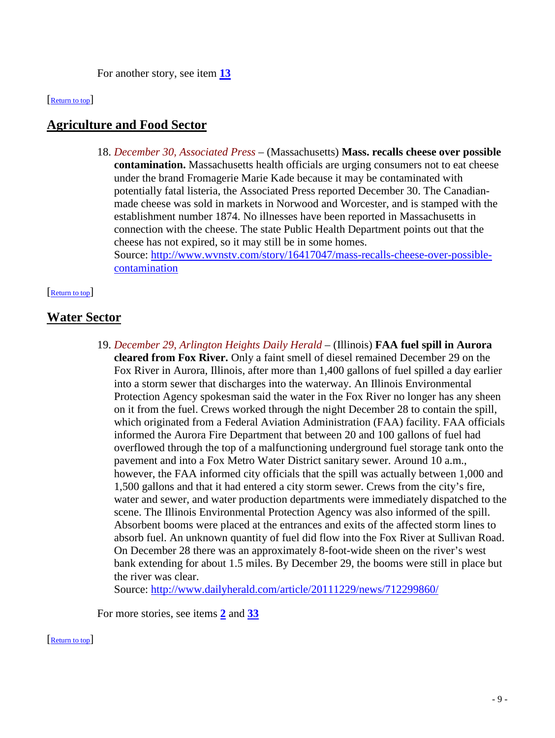For another story, see item **[13](#page-6-0)**

#### <span id="page-8-0"></span>[\[Return to top\]](#page-0-0)

# **Agriculture and Food Sector**

18. *December 30, Associated Press* – (Massachusetts) **Mass. recalls cheese over possible contamination.** Massachusetts health officials are urging consumers not to eat cheese under the brand Fromagerie Marie Kade because it may be contaminated with potentially fatal listeria, the Associated Press reported December 30. The Canadianmade cheese was sold in markets in Norwood and Worcester, and is stamped with the establishment number 1874. No illnesses have been reported in Massachusetts in connection with the cheese. The state Public Health Department points out that the cheese has not expired, so it may still be in some homes. Source: [http://www.wvnstv.com/story/16417047/mass-recalls-cheese-over-possible](http://www.wvnstv.com/story/16417047/mass-recalls-cheese-over-possible-contamination)[contamination](http://www.wvnstv.com/story/16417047/mass-recalls-cheese-over-possible-contamination)

#### [\[Return to top\]](#page-0-0)

# **Water Sector**

19. *December 29, Arlington Heights Daily Herald* – (Illinois) **FAA fuel spill in Aurora cleared from Fox River.** Only a faint smell of diesel remained December 29 on the Fox River in Aurora, Illinois, after more than 1,400 gallons of fuel spilled a day earlier into a storm sewer that discharges into the waterway. An Illinois Environmental Protection Agency spokesman said the water in the Fox River no longer has any sheen on it from the fuel. Crews worked through the night December 28 to contain the spill, which originated from a Federal Aviation Administration (FAA) facility. FAA officials informed the Aurora Fire Department that between 20 and 100 gallons of fuel had overflowed through the top of a malfunctioning underground fuel storage tank onto the pavement and into a Fox Metro Water District sanitary sewer. Around 10 a.m., however, the FAA informed city officials that the spill was actually between 1,000 and 1,500 gallons and that it had entered a city storm sewer. Crews from the city's fire, water and sewer, and water production departments were immediately dispatched to the scene. The Illinois Environmental Protection Agency was also informed of the spill. Absorbent booms were placed at the entrances and exits of the affected storm lines to absorb fuel. An unknown quantity of fuel did flow into the Fox River at Sullivan Road. On December 28 there was an approximately 8-foot-wide sheen on the river's west bank extending for about 1.5 miles. By December 29, the booms were still in place but the river was clear.

Source:<http://www.dailyherald.com/article/20111229/news/712299860/>

For more stories, see items **[2](#page-1-0)** and **[33](#page-14-0)**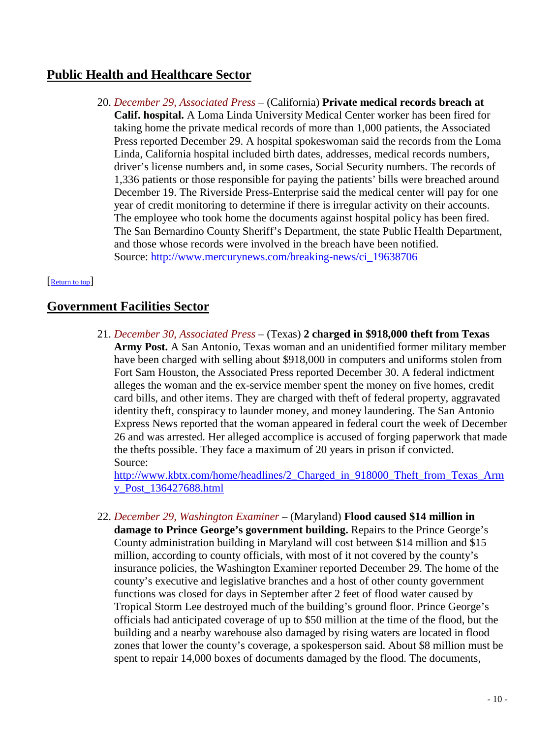# <span id="page-9-0"></span>**Public Health and Healthcare Sector**

20. *December 29, Associated Press* – (California) **Private medical records breach at Calif. hospital.** A Loma Linda University Medical Center worker has been fired for taking home the private medical records of more than 1,000 patients, the Associated Press reported December 29. A hospital spokeswoman said the records from the Loma Linda, California hospital included birth dates, addresses, medical records numbers, driver's license numbers and, in some cases, Social Security numbers. The records of 1,336 patients or those responsible for paying the patients' bills were breached around December 19. The Riverside Press-Enterprise said the medical center will pay for one year of credit monitoring to determine if there is irregular activity on their accounts. The employee who took home the documents against hospital policy has been fired. The San Bernardino County Sheriff's Department, the state Public Health Department, and those whose records were involved in the breach have been notified. Source: [http://www.mercurynews.com/breaking-news/ci\\_19638706](http://www.mercurynews.com/breaking-news/ci_19638706)

#### [\[Return to top\]](#page-0-0)

# **Government Facilities Sector**

21. *December 30, Associated Press* – (Texas) **2 charged in \$918,000 theft from Texas Army Post.** A San Antonio, Texas woman and an unidentified former military member have been charged with selling about \$918,000 in computers and uniforms stolen from Fort Sam Houston, the Associated Press reported December 30. A federal indictment alleges the woman and the ex-service member spent the money on five homes, credit card bills, and other items. They are charged with theft of federal property, aggravated identity theft, conspiracy to launder money, and money laundering. The San Antonio Express News reported that the woman appeared in federal court the week of December 26 and was arrested. Her alleged accomplice is accused of forging paperwork that made the thefts possible. They face a maximum of 20 years in prison if convicted. Source:

[http://www.kbtx.com/home/headlines/2\\_Charged\\_in\\_918000\\_Theft\\_from\\_Texas\\_Arm](http://www.kbtx.com/home/headlines/2_Charged_in_918000_Theft_from_Texas_Army_Post_136427688.html) [y\\_Post\\_136427688.html](http://www.kbtx.com/home/headlines/2_Charged_in_918000_Theft_from_Texas_Army_Post_136427688.html)

22. *December 29, Washington Examiner* – (Maryland) **Flood caused \$14 million in damage to Prince George's government building.** Repairs to the Prince George's County administration building in Maryland will cost between \$14 million and \$15 million, according to county officials, with most of it not covered by the county's insurance policies, the Washington Examiner reported December 29. The home of the county's executive and legislative branches and a host of other county government functions was closed for days in September after 2 feet of flood water caused by Tropical Storm Lee destroyed much of the building's ground floor. Prince George's officials had anticipated coverage of up to \$50 million at the time of the flood, but the building and a nearby warehouse also damaged by rising waters are located in flood zones that lower the county's coverage, a spokesperson said. About \$8 million must be spent to repair 14,000 boxes of documents damaged by the flood. The documents,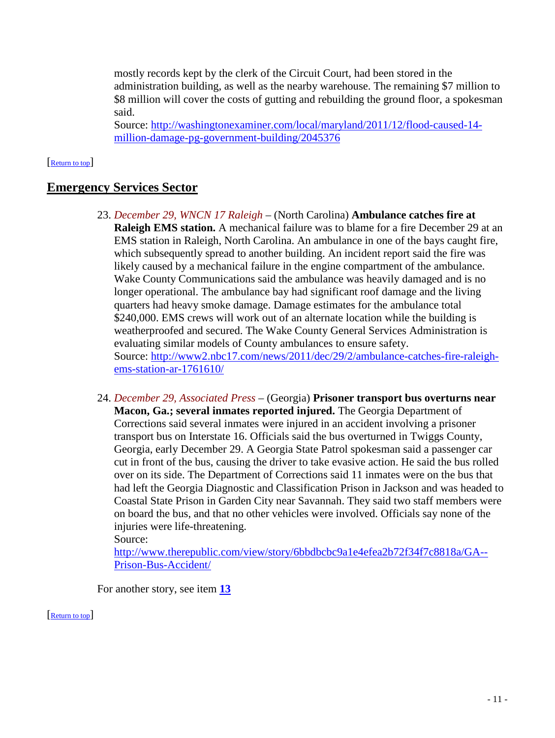<span id="page-10-0"></span>mostly records kept by the clerk of the Circuit Court, had been stored in the administration building, as well as the nearby warehouse. The remaining \$7 million to \$8 million will cover the costs of gutting and rebuilding the ground floor, a spokesman said.

Source: [http://washingtonexaminer.com/local/maryland/2011/12/flood-caused-14](http://washingtonexaminer.com/local/maryland/2011/12/flood-caused-14-million-damage-pg-government-building/2045376) [million-damage-pg-government-building/2045376](http://washingtonexaminer.com/local/maryland/2011/12/flood-caused-14-million-damage-pg-government-building/2045376)

#### [\[Return to top\]](#page-0-0)

# **Emergency Services Sector**

- 23. *December 29, WNCN 17 Raleigh* (North Carolina) **Ambulance catches fire at Raleigh EMS station.** A mechanical failure was to blame for a fire December 29 at an EMS station in Raleigh, North Carolina. An ambulance in one of the bays caught fire, which subsequently spread to another building. An incident report said the fire was likely caused by a mechanical failure in the engine compartment of the ambulance. Wake County Communications said the ambulance was heavily damaged and is no longer operational. The ambulance bay had significant roof damage and the living quarters had heavy smoke damage. Damage estimates for the ambulance total \$240,000. EMS crews will work out of an alternate location while the building is weatherproofed and secured. The Wake County General Services Administration is evaluating similar models of County ambulances to ensure safety. Source: [http://www2.nbc17.com/news/2011/dec/29/2/ambulance-catches-fire-raleigh](http://www2.nbc17.com/news/2011/dec/29/2/ambulance-catches-fire-raleigh-ems-station-ar-1761610/)[ems-station-ar-1761610/](http://www2.nbc17.com/news/2011/dec/29/2/ambulance-catches-fire-raleigh-ems-station-ar-1761610/)
- 24. *December 29, Associated Press* (Georgia) **Prisoner transport bus overturns near Macon, Ga.; several inmates reported injured.** The Georgia Department of Corrections said several inmates were injured in an accident involving a prisoner transport bus on Interstate 16. Officials said the bus overturned in Twiggs County, Georgia, early December 29. A Georgia State Patrol spokesman said a passenger car cut in front of the bus, causing the driver to take evasive action. He said the bus rolled over on its side. The Department of Corrections said 11 inmates were on the bus that had left the Georgia Diagnostic and Classification Prison in Jackson and was headed to Coastal State Prison in Garden City near Savannah. They said two staff members were on board the bus, and that no other vehicles were involved. Officials say none of the injuries were life-threatening.

Source:

[http://www.therepublic.com/view/story/6bbdbcbc9a1e4efea2b72f34f7c8818a/GA--](http://www.therepublic.com/view/story/6bbdbcbc9a1e4efea2b72f34f7c8818a/GA--Prison-Bus-Accident/) [Prison-Bus-Accident/](http://www.therepublic.com/view/story/6bbdbcbc9a1e4efea2b72f34f7c8818a/GA--Prison-Bus-Accident/)

For another story, see item **[13](#page-6-0)**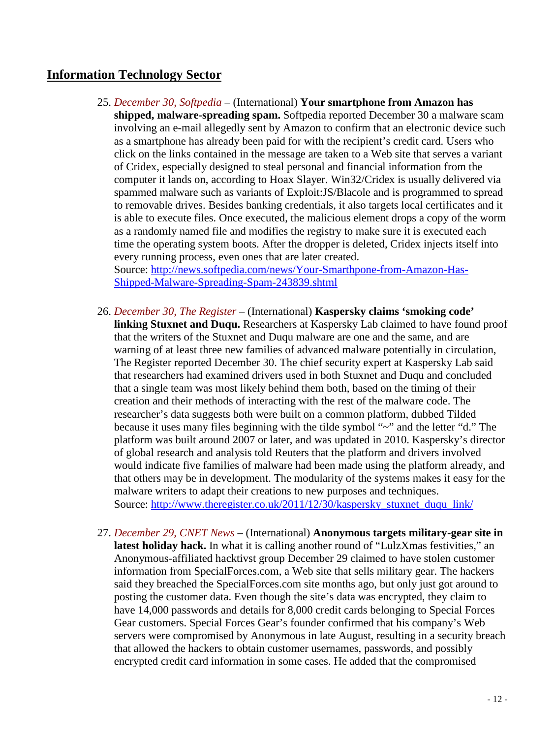# <span id="page-11-0"></span>**Information Technology Sector**

25. *December 30, Softpedia* – (International) **Your smartphone from Amazon has shipped, malware-spreading spam.** Softpedia reported December 30 a malware scam involving an e-mail allegedly sent by Amazon to confirm that an electronic device such as a smartphone has already been paid for with the recipient's credit card. Users who click on the links contained in the message are taken to a Web site that serves a variant of Cridex, especially designed to steal personal and financial information from the computer it lands on, according to Hoax Slayer. Win32/Cridex is usually delivered via spammed malware such as variants of Exploit:JS/Blacole and is programmed to spread to removable drives. Besides banking credentials, it also targets local certificates and it is able to execute files. Once executed, the malicious element drops a copy of the worm as a randomly named file and modifies the registry to make sure it is executed each time the operating system boots. After the dropper is deleted, Cridex injects itself into every running process, even ones that are later created.

Source: [http://news.softpedia.com/news/Your-Smarthpone-from-Amazon-Has-](http://news.softpedia.com/news/Your-Smarthpone-from-Amazon-Has-Shipped-Malware-Spreading-Spam-243839.shtml)[Shipped-Malware-Spreading-Spam-243839.shtml](http://news.softpedia.com/news/Your-Smarthpone-from-Amazon-Has-Shipped-Malware-Spreading-Spam-243839.shtml)

- 26. *December 30, The Register* (International) **Kaspersky claims 'smoking code' linking Stuxnet and Duqu.** Researchers at Kaspersky Lab claimed to have found proof that the writers of the Stuxnet and Duqu malware are one and the same, and are warning of at least three new families of advanced malware potentially in circulation, The Register reported December 30. The chief security expert at Kaspersky Lab said that researchers had examined drivers used in both Stuxnet and Duqu and concluded that a single team was most likely behind them both, based on the timing of their creation and their methods of interacting with the rest of the malware code. The researcher's data suggests both were built on a common platform, dubbed Tilded because it uses many files beginning with the tilde symbol "~" and the letter "d." The platform was built around 2007 or later, and was updated in 2010. Kaspersky's director of global research and analysis told Reuters that the platform and drivers involved would indicate five families of malware had been made using the platform already, and that others may be in development. The modularity of the systems makes it easy for the malware writers to adapt their creations to new purposes and techniques. Source: [http://www.theregister.co.uk/2011/12/30/kaspersky\\_stuxnet\\_duqu\\_link/](http://www.theregister.co.uk/2011/12/30/kaspersky_stuxnet_duqu_link/)
- 27. *December 29, CNET News* (International) **Anonymous targets military-gear site in latest holiday hack.** In what it is calling another round of "LulzXmas festivities," an Anonymous-affiliated hacktivst group December 29 claimed to have stolen customer information from SpecialForces.com, a Web site that sells military gear. The hackers said they breached the SpecialForces.com site months ago, but only just got around to posting the customer data. Even though the site's data was encrypted, they claim to have 14,000 passwords and details for 8,000 credit cards belonging to Special Forces Gear customers. Special Forces Gear's founder confirmed that his company's Web servers were compromised by Anonymous in late August, resulting in a security breach that allowed the hackers to obtain customer usernames, passwords, and possibly encrypted credit card information in some cases. He added that the compromised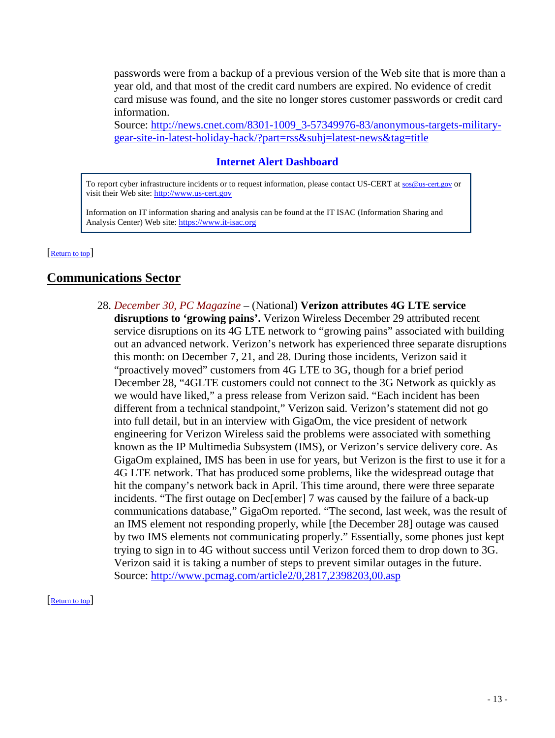<span id="page-12-0"></span>passwords were from a backup of a previous version of the Web site that is more than a year old, and that most of the credit card numbers are expired. No evidence of credit card misuse was found, and the site no longer stores customer passwords or credit card information.

Source: [http://news.cnet.com/8301-1009\\_3-57349976-83/anonymous-targets-military](http://news.cnet.com/8301-1009_3-57349976-83/anonymous-targets-military-gear-site-in-latest-holiday-hack/?part=rss&subj=latest-news&tag=title)[gear-site-in-latest-holiday-hack/?part=rss&subj=latest-news&tag=title](http://news.cnet.com/8301-1009_3-57349976-83/anonymous-targets-military-gear-site-in-latest-holiday-hack/?part=rss&subj=latest-news&tag=title)

#### **Internet Alert Dashboard**

To report cyber infrastructure incidents or to request information, please contact US-CERT at [sos@us-cert.gov](mailto:sos@us-cert.gov) or visit their Web site[: http://www.us-cert.gov](http://www.us-cert.gov/)

Information on IT information sharing and analysis can be found at the IT ISAC (Information Sharing and Analysis Center) Web site: [https://www.it-isac.org](https://www.it-isac.org/) 

#### Return to top

## **Communications Sector**

28. *December 30, PC Magazine* – (National) **Verizon attributes 4G LTE service disruptions to 'growing pains'.** Verizon Wireless December 29 attributed recent service disruptions on its 4G LTE network to "growing pains" associated with building out an advanced network. Verizon's network has experienced three separate disruptions this month: on December 7, 21, and 28. During those incidents, Verizon said it "proactively moved" customers from 4G LTE to 3G, though for a brief period December 28, "4GLTE customers could not connect to the 3G Network as quickly as we would have liked," a press release from Verizon said. "Each incident has been different from a technical standpoint," Verizon said. Verizon's statement did not go into full detail, but in an interview with GigaOm, the vice president of network engineering for Verizon Wireless said the problems were associated with something known as the IP Multimedia Subsystem (IMS), or Verizon's service delivery core. As GigaOm explained, IMS has been in use for years, but Verizon is the first to use it for a 4G LTE network. That has produced some problems, like the widespread outage that hit the company's network back in April. This time around, there were three separate incidents. "The first outage on Dec[ember] 7 was caused by the failure of a back-up communications database," GigaOm reported. "The second, last week, was the result of an IMS element not responding properly, while [the December 28] outage was caused by two IMS elements not communicating properly." Essentially, some phones just kept trying to sign in to 4G without success until Verizon forced them to drop down to 3G. Verizon said it is taking a number of steps to prevent similar outages in the future. Source:<http://www.pcmag.com/article2/0,2817,2398203,00.asp>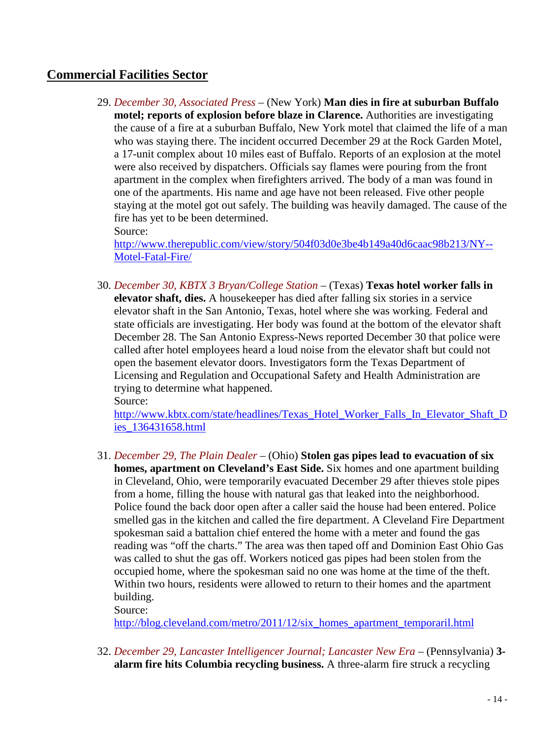# <span id="page-13-0"></span>**Commercial Facilities Sector**

29. *December 30, Associated Press* – (New York) **Man dies in fire at suburban Buffalo motel; reports of explosion before blaze in Clarence.** Authorities are investigating the cause of a fire at a suburban Buffalo, New York motel that claimed the life of a man who was staying there. The incident occurred December 29 at the Rock Garden Motel, a 17-unit complex about 10 miles east of Buffalo. Reports of an explosion at the motel were also received by dispatchers. Officials say flames were pouring from the front apartment in the complex when firefighters arrived. The body of a man was found in one of the apartments. His name and age have not been released. Five other people staying at the motel got out safely. The building was heavily damaged. The cause of the fire has yet to be been determined.

Source:

[http://www.therepublic.com/view/story/504f03d0e3be4b149a40d6caac98b213/NY--](http://www.therepublic.com/view/story/504f03d0e3be4b149a40d6caac98b213/NY--Motel-Fatal-Fire/) [Motel-Fatal-Fire/](http://www.therepublic.com/view/story/504f03d0e3be4b149a40d6caac98b213/NY--Motel-Fatal-Fire/)

30. *December 30, KBTX 3 Bryan/College Station* – (Texas) **Texas hotel worker falls in elevator shaft, dies.** A housekeeper has died after falling six stories in a service elevator shaft in the San Antonio, Texas, hotel where she was working. Federal and state officials are investigating. Her body was found at the bottom of the elevator shaft December 28. The San Antonio Express-News reported December 30 that police were called after hotel employees heard a loud noise from the elevator shaft but could not open the basement elevator doors. Investigators form the Texas Department of Licensing and Regulation and Occupational Safety and Health Administration are trying to determine what happened. Source:

[http://www.kbtx.com/state/headlines/Texas\\_Hotel\\_Worker\\_Falls\\_In\\_Elevator\\_Shaft\\_D](http://www.kbtx.com/state/headlines/Texas_Hotel_Worker_Falls_In_Elevator_Shaft_Dies_136431658.html) [ies\\_136431658.html](http://www.kbtx.com/state/headlines/Texas_Hotel_Worker_Falls_In_Elevator_Shaft_Dies_136431658.html)

31. *December 29, The Plain Dealer* – (Ohio) **Stolen gas pipes lead to evacuation of six homes, apartment on Cleveland's East Side.** Six homes and one apartment building in Cleveland, Ohio, were temporarily evacuated December 29 after thieves stole pipes from a home, filling the house with natural gas that leaked into the neighborhood. Police found the back door open after a caller said the house had been entered. Police smelled gas in the kitchen and called the fire department. A Cleveland Fire Department spokesman said a battalion chief entered the home with a meter and found the gas reading was "off the charts." The area was then taped off and Dominion East Ohio Gas was called to shut the gas off. Workers noticed gas pipes had been stolen from the occupied home, where the spokesman said no one was home at the time of the theft. Within two hours, residents were allowed to return to their homes and the apartment building.

Source:

[http://blog.cleveland.com/metro/2011/12/six\\_homes\\_apartment\\_temporaril.html](http://blog.cleveland.com/metro/2011/12/six_homes_apartment_temporaril.html)

32. *December 29, Lancaster Intelligencer Journal; Lancaster New Era* – (Pennsylvania) **3 alarm fire hits Columbia recycling business.** A three-alarm fire struck a recycling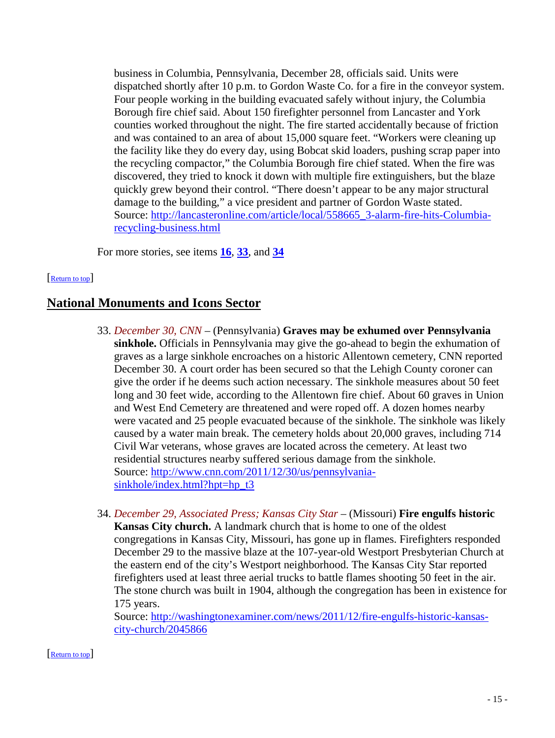<span id="page-14-0"></span>business in Columbia, Pennsylvania, December 28, officials said. Units were dispatched shortly after 10 p.m. to Gordon Waste Co. for a fire in the conveyor system. Four people working in the building evacuated safely without injury, the Columbia Borough fire chief said. About 150 firefighter personnel from Lancaster and York counties worked throughout the night. The fire started accidentally because of friction and was contained to an area of about 15,000 square feet. "Workers were cleaning up the facility like they do every day, using Bobcat skid loaders, pushing scrap paper into the recycling compactor," the Columbia Borough fire chief stated. When the fire was discovered, they tried to knock it down with multiple fire extinguishers, but the blaze quickly grew beyond their control. "There doesn't appear to be any major structural damage to the building," a vice president and partner of Gordon Waste stated. Source: [http://lancasteronline.com/article/local/558665\\_3-alarm-fire-hits-Columbia](http://lancasteronline.com/article/local/558665_3-alarm-fire-hits-Columbia-recycling-business.html)[recycling-business.html](http://lancasteronline.com/article/local/558665_3-alarm-fire-hits-Columbia-recycling-business.html)

For more stories, see items **[16](#page-7-0)**, **33**, and **[34](#page-15-0)**

#### [\[Return to top\]](#page-0-0)

# **National Monuments and Icons Sector**

- 33. *December 30, CNN* (Pennsylvania) **Graves may be exhumed over Pennsylvania sinkhole.** Officials in Pennsylvania may give the go-ahead to begin the exhumation of graves as a large sinkhole encroaches on a historic Allentown cemetery, CNN reported December 30. A court order has been secured so that the Lehigh County coroner can give the order if he deems such action necessary. The sinkhole measures about 50 feet long and 30 feet wide, according to the Allentown fire chief. About 60 graves in Union and West End Cemetery are threatened and were roped off. A dozen homes nearby were vacated and 25 people evacuated because of the sinkhole. The sinkhole was likely caused by a water main break. The cemetery holds about 20,000 graves, including 714 Civil War veterans, whose graves are located across the cemetery. At least two residential structures nearby suffered serious damage from the sinkhole. Source: [http://www.cnn.com/2011/12/30/us/pennsylvania](http://www.cnn.com/2011/12/30/us/pennsylvania-sinkhole/index.html?hpt=hp_t3)[sinkhole/index.html?hpt=hp\\_t3](http://www.cnn.com/2011/12/30/us/pennsylvania-sinkhole/index.html?hpt=hp_t3)
- 34. *December 29, Associated Press; Kansas City Star* (Missouri) **Fire engulfs historic Kansas City church.** A landmark church that is home to one of the oldest congregations in Kansas City, Missouri, has gone up in flames. Firefighters responded December 29 to the massive blaze at the 107-year-old Westport Presbyterian Church at the eastern end of the city's Westport neighborhood. The Kansas City Star reported firefighters used at least three aerial trucks to battle flames shooting 50 feet in the air. The stone church was built in 1904, although the congregation has been in existence for 175 years.

Source: [http://washingtonexaminer.com/news/2011/12/fire-engulfs-historic-kansas](http://washingtonexaminer.com/news/2011/12/fire-engulfs-historic-kansas-city-church/2045866)[city-church/2045866](http://washingtonexaminer.com/news/2011/12/fire-engulfs-historic-kansas-city-church/2045866)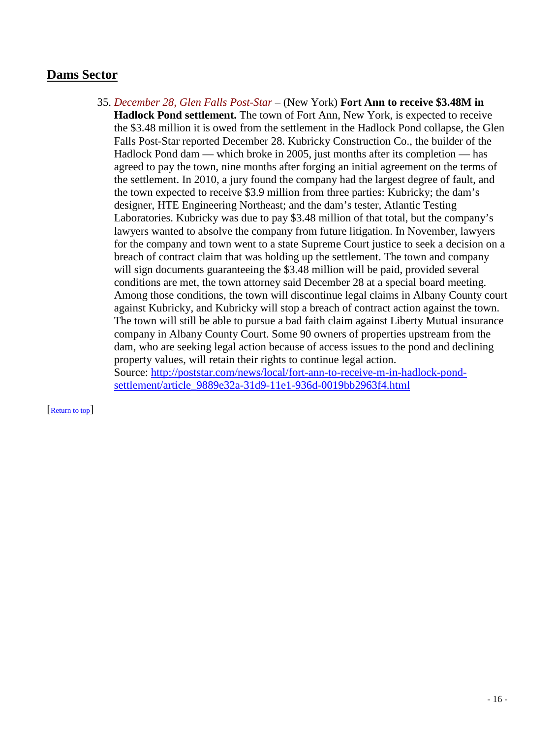# <span id="page-15-0"></span>**Dams Sector**

35. *December 28, Glen Falls Post-Star* – (New York) **Fort Ann to receive \$3.48M in Hadlock Pond settlement.** The town of Fort Ann, New York, is expected to receive the \$3.48 million it is owed from the settlement in the Hadlock Pond collapse, the Glen Falls Post-Star reported December 28. Kubricky Construction Co., the builder of the Hadlock Pond dam — which broke in 2005, just months after its completion — has agreed to pay the town, nine months after forging an initial agreement on the terms of the settlement. In 2010, a jury found the company had the largest degree of fault, and the town expected to receive \$3.9 million from three parties: Kubricky; the dam's designer, HTE Engineering Northeast; and the dam's tester, Atlantic Testing Laboratories. Kubricky was due to pay \$3.48 million of that total, but the company's lawyers wanted to absolve the company from future litigation. In November, lawyers for the company and town went to a state Supreme Court justice to seek a decision on a breach of contract claim that was holding up the settlement. The town and company will sign documents guaranteeing the \$3.48 million will be paid, provided several conditions are met, the town attorney said December 28 at a special board meeting. Among those conditions, the town will discontinue legal claims in Albany County court against Kubricky, and Kubricky will stop a breach of contract action against the town. The town will still be able to pursue a bad faith claim against Liberty Mutual insurance company in Albany County Court. Some 90 owners of properties upstream from the dam, who are seeking legal action because of access issues to the pond and declining property values, will retain their rights to continue legal action. Source: [http://poststar.com/news/local/fort-ann-to-receive-m-in-hadlock-pond](http://poststar.com/news/local/fort-ann-to-receive-m-in-hadlock-pond-settlement/article_9889e32a-31d9-11e1-936d-0019bb2963f4.html)[settlement/article\\_9889e32a-31d9-11e1-936d-0019bb2963f4.html](http://poststar.com/news/local/fort-ann-to-receive-m-in-hadlock-pond-settlement/article_9889e32a-31d9-11e1-936d-0019bb2963f4.html)